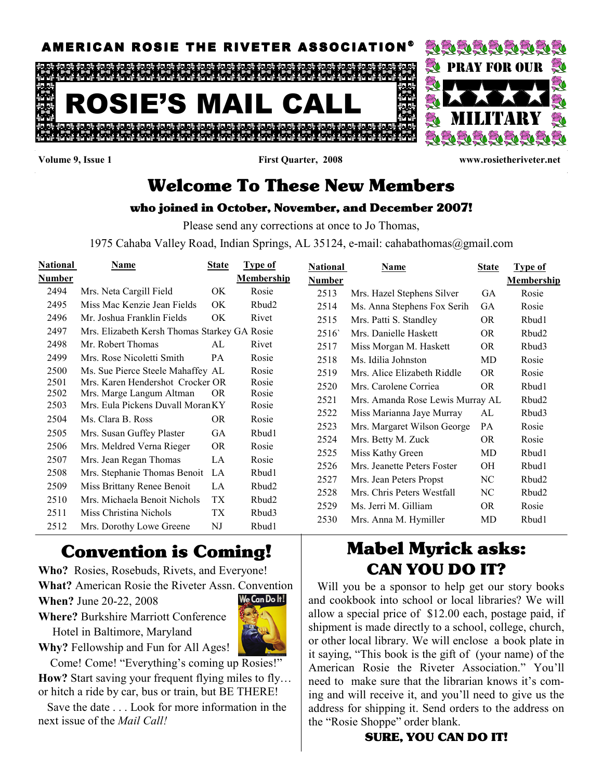

Volume 9, Issue 1 First Quarter, 2008 www.rosietheriveter.net

# Welcome To These New Members

### who joined in October, November, and December 2007!

Please send any corrections at once to Jo Thomas,

1975 Cahaba Valley Road, Indian Springs, AL 35124, e-mail: cahabathomas@gmail.com

| <b>National</b> | Name                                         | <b>State</b> | Type of           | <b>National</b> | <b>Name</b>                      | <b>State</b> | <b>Type of</b>    |
|-----------------|----------------------------------------------|--------------|-------------------|-----------------|----------------------------------|--------------|-------------------|
| Number          |                                              |              | <b>Membership</b> | Number          |                                  |              | <b>Membership</b> |
| 2494            | Mrs. Neta Cargill Field                      | OK           | Rosie             | 2513            | Mrs. Hazel Stephens Silver       | GA           | Rosie             |
| 2495            | Miss Mac Kenzie Jean Fields                  | OK           | Rbud <sub>2</sub> | 2514            | Ms. Anna Stephens Fox Serih      | GA           | Rosie             |
| 2496            | Mr. Joshua Franklin Fields                   | OK           | Rivet             | 2515            | Mrs. Patti S. Standley           | <b>OR</b>    | Rbud1             |
| 2497            | Mrs. Elizabeth Kersh Thomas Starkey GA Rosie |              |                   | 2516            | Mrs. Danielle Haskett            | <b>OR</b>    | Rbud2             |
| 2498            | Mr. Robert Thomas                            | AL           | Rivet             | 2517            | Miss Morgan M. Haskett           | OR.          | Rbud3             |
| 2499            | Mrs. Rose Nicoletti Smith                    | PA           | Rosie             | 2518            | Ms. Idilia Johnston              | MD           | Rosie             |
| 2500            | Ms. Sue Pierce Steele Mahaffey AL            |              | Rosie             | 2519            | Mrs. Alice Elizabeth Riddle      | <b>OR</b>    | Rosie             |
| 2501            | Mrs. Karen Hendershot Crocker OR             |              | Rosie             | 2520            | Mrs. Carolene Corriea            | <b>OR</b>    | Rbud1             |
| 2502            | Mrs. Marge Langum Altman                     | <b>OR</b>    | Rosie             | 2521            | Mrs. Amanda Rose Lewis Murray AL |              | Rbud2             |
| 2503            | Mrs. Eula Pickens Duvall Moran KY            |              | Rosie             | 2522            | Miss Marianna Jaye Murray        | AL           | Rbud3             |
| 2504            | Ms. Clara B. Ross                            | OR.          | Rosie             | 2523            | Mrs. Margaret Wilson George      | PA           | Rosie             |
| 2505            | Mrs. Susan Guffey Plaster                    | GA           | Rbud1             | 2524            | Mrs. Betty M. Zuck               | <b>OR</b>    | Rosie             |
| 2506            | Mrs. Meldred Verna Rieger                    | <b>OR</b>    | Rosie             | 2525            | Miss Kathy Green                 | MD           | Rbud1             |
| 2507            | Mrs. Jean Regan Thomas                       | LA           | Rosie             | 2526            | Mrs. Jeanette Peters Foster      | OН           | Rbud1             |
| 2508            | Mrs. Stephanie Thomas Benoit                 | LA           | Rbud1             | 2527            | Mrs. Jean Peters Propst          | NC           | Rbud2             |
| 2509            | Miss Brittany Renee Benoit                   | LA           | Rbud2             |                 | Mrs. Chris Peters Westfall       |              |                   |
| 2510            | Mrs. Michaela Benoit Nichols                 | TX           | Rbud2             | 2528            |                                  | NC           | Rbud2             |
| 2511            | Miss Christina Nichols                       | TX           | Rbud3             | 2529            | Ms. Jerri M. Gilliam             | <b>OR</b>    | Rosie             |
| 2512            | Mrs. Dorothy Lowe Greene                     | NJ           | Rbud1             | 2530            | Mrs. Anna M. Hymiller            | MD           | Rbud1             |

# Convention is Coming!

Who? Rosies, Rosebuds, Rivets, and Everyone!

What? American Rosie the Riveter Assn. Convention

When? June 20-22, 2008



Where? Burkshire Marriott Conference Hotel in Baltimore, Maryland

Why? Fellowship and Fun for All Ages!

Come! Come! "Everything's coming up Rosies!" How? Start saving your frequent flying miles to fly... or hitch a ride by car, bus or train, but BE THERE!

 Save the date . . . Look for more information in the next issue of the *Mail Call!* 

# Mabel Myrick asks: CAN YOU DO IT?

 Will you be a sponsor to help get our story books and cookbook into school or local libraries? We will allow a special price of \$12.00 each, postage paid, if shipment is made directly to a school, college, church, or other local library. We will enclose a book plate in it saying, "This book is the gift of (your name) of the American Rosie the Riveter Association." You'll need to make sure that the librarian knows it's coming and will receive it, and you'll need to give us the address for shipping it. Send orders to the address on the "Rosie Shoppe" order blank.

## SURE, YOU CAN DO IT!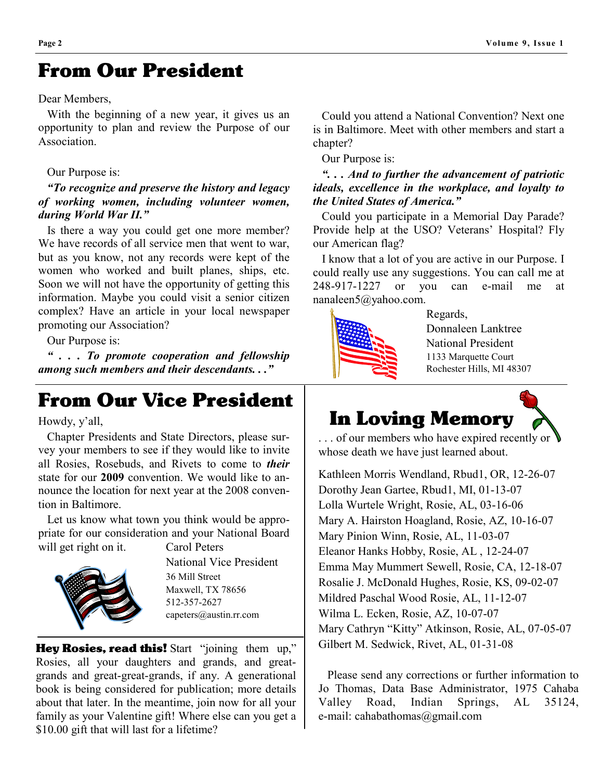# From Our President

#### Dear Members,

 With the beginning of a new year, it gives us an opportunity to plan and review the Purpose of our Association.

#### Our Purpose is:

#### "To recognize and preserve the history and legacy of working women, including volunteer women, during World War II."

 Is there a way you could get one more member? We have records of all service men that went to war, but as you know, not any records were kept of the women who worked and built planes, ships, etc. Soon we will not have the opportunity of getting this information. Maybe you could visit a senior citizen complex? Have an article in your local newspaper promoting our Association?

Our Purpose is:

 " . . . To promote cooperation and fellowship among such members and their descendants. . ."

# From Our Vice President

Howdy, y'all,

 Chapter Presidents and State Directors, please survey your members to see if they would like to invite all Rosies, Rosebuds, and Rivets to come to *their* state for our 2009 convention. We would like to announce the location for next year at the 2008 convention in Baltimore.

 Let us know what town you think would be appropriate for our consideration and your National Board will get right on it. Carol Peters



 National Vice President 36 Mill Street Maxwell, TX 78656 512-357-2627 capeters@austin.rr.com

Hey Rosies, read this! Start "joining them up," Rosies, all your daughters and grands, and greatgrands and great-great-grands, if any. A generational book is being considered for publication; more details about that later. In the meantime, join now for all your family as your Valentine gift! Where else can you get a \$10.00 gift that will last for a lifetime?

 Could you attend a National Convention? Next one is in Baltimore. Meet with other members and start a chapter?

Our Purpose is:

### ". . . And to further the advancement of patriotic ideals, excellence in the workplace, and loyalty to the United States of America."

 Could you participate in a Memorial Day Parade? Provide help at the USO? Veterans' Hospital? Fly our American flag?

 I know that a lot of you are active in our Purpose. I could really use any suggestions. You can call me at 248-917-1227 or you can e-mail me at nanaleen5@yahoo.com.



 $\overline{a}$ 

 Regards, Donnaleen Lanktree National President 1133 Marquette Court Rochester Hills, MI 48307



... of our members who have expired recently or whose death we have just learned about.

Kathleen Morris Wendland, Rbud1, OR, 12-26-07 Dorothy Jean Gartee, Rbud1, MI, 01-13-07 Lolla Wurtele Wright, Rosie, AL, 03-16-06 Mary A. Hairston Hoagland, Rosie, AZ, 10-16-07 Mary Pinion Winn, Rosie, AL, 11-03-07 Eleanor Hanks Hobby, Rosie, AL , 12-24-07 Emma May Mummert Sewell, Rosie, CA, 12-18-07 Rosalie J. McDonald Hughes, Rosie, KS, 09-02-07 Mildred Paschal Wood Rosie, AL, 11-12-07 Wilma L. Ecken, Rosie, AZ, 10-07-07 Mary Cathryn "Kitty" Atkinson, Rosie, AL, 07-05-07 Gilbert M. Sedwick, Rivet, AL, 01-31-08

 Please send any corrections or further information to Jo Thomas, Data Base Administrator, 1975 Cahaba Valley Road, Indian Springs, AL 35124, e-mail: cahabathomas@gmail.com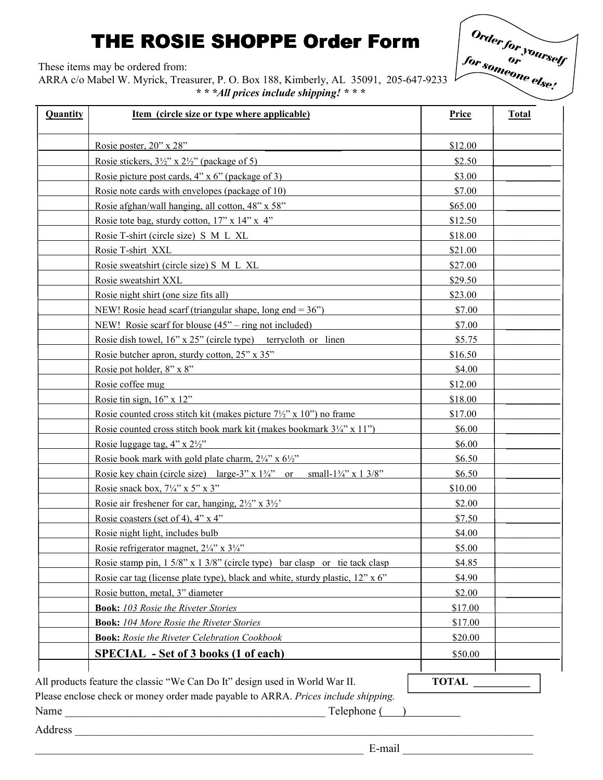# THE ROSIE SHOPPE Order Form

These items may be ordered from:

ARRA c/o Mabel W. Myrick, Treasurer, P. O. Box 188, Kimberly, AL 35091, 205-647-9233 \* \* \*All prices include shipping! \* \* \*



| Quantity | <u>Item (circle size or type where applicable)</u>                                               | <b>Price</b> | <b>Total</b> |
|----------|--------------------------------------------------------------------------------------------------|--------------|--------------|
|          | Rosie poster, 20" x 28"                                                                          | \$12.00      |              |
|          | Rosie stickers, $3\frac{1}{2}$ " x $2\frac{1}{2}$ " (package of 5)                               | \$2.50       |              |
|          | Rosie picture post cards, $4'' \times 6''$ (package of 3)                                        | \$3.00       |              |
|          | Rosie note cards with envelopes (package of 10)                                                  | \$7.00       |              |
|          | Rosie afghan/wall hanging, all cotton, 48" x 58"                                                 | \$65.00      |              |
|          | Rosie tote bag, sturdy cotton, $17$ " x $14$ " x $4$ "                                           | \$12.50      |              |
|          | Rosie T-shirt (circle size) S M L XL                                                             | \$18.00      |              |
|          | Rosie T-shirt XXL                                                                                | \$21.00      |              |
|          | Rosie sweatshirt (circle size) S M L XL                                                          | \$27.00      |              |
|          | Rosie sweatshirt XXL                                                                             | \$29.50      |              |
|          | Rosie night shirt (one size fits all)                                                            | \$23.00      |              |
|          | NEW! Rosie head scarf (triangular shape, long end = $36$ ")                                      | \$7.00       |              |
|          | NEW! Rosie scarf for blouse $(45^{\circ}$ – ring not included)                                   | \$7.00       |              |
|          | Rosie dish towel, $16$ " x $25$ " (circle type) terrycloth or linen                              | \$5.75       |              |
|          | Rosie butcher apron, sturdy cotton, 25" x 35"                                                    | \$16.50      |              |
|          | Rosie pot holder, 8" x 8"                                                                        | \$4.00       |              |
|          | Rosie coffee mug                                                                                 | \$12.00      |              |
|          | Rosie tin sign, $16$ " x $12$ "                                                                  | \$18.00      |              |
|          | Rosie counted cross stitch kit (makes picture $7\frac{1}{2}$ " x 10") no frame                   | \$17.00      |              |
|          | Rosie counted cross stitch book mark kit (makes bookmark $3\frac{1}{4}$ " x 11")                 | \$6.00       |              |
|          | Rosie luggage tag, $4$ " x $2\frac{1}{2}$ "                                                      | \$6.00       |              |
|          | Rosie book mark with gold plate charm, $2\frac{1}{4}$ x $6\frac{1}{2}$ "                         | \$6.50       |              |
|          | Rosie key chain (circle size) large-3" x $1\frac{3}{4}$ " or<br>small- $1\frac{3}{4}$ " x 1 3/8" | \$6.50       |              |
|          | Rosie snack box, $7\frac{1}{4}$ " x 5" x 3"                                                      | \$10.00      |              |
|          | Rosie air freshener for car, hanging, $2\frac{1}{2}$ " x $3\frac{1}{2}$ "                        | \$2.00       |              |
|          | Rosie coasters (set of 4), $4$ " x $4$ "                                                         | \$7.50       |              |
|          | Rosie night light, includes bulb                                                                 | \$4.00       |              |
|          | Rosie refrigerator magnet, $2\frac{1}{4}$ " x $3\frac{1}{4}$ "                                   | \$5.00       |              |
|          | Rosie stamp pin, $1.5/8$ " x $1.3/8$ " (circle type) bar clasp or tie tack clasp                 | \$4.85       |              |
|          | Rosie car tag (license plate type), black and white, sturdy plastic, 12" x 6"                    | \$4.90       |              |
|          | Rosie button, metal, 3" diameter                                                                 | \$2.00       |              |
|          | <b>Book:</b> 103 Rosie the Riveter Stories                                                       | \$17.00      |              |
|          | <b>Book:</b> 104 More Rosie the Riveter Stories                                                  | \$17.00      |              |
|          | <b>Book:</b> Rosie the Riveter Celebration Cookbook                                              | \$20.00      |              |
|          | <b>SPECIAL</b> - Set of 3 books (1 of each)                                                      | \$50.00      |              |
|          | All products feature the classic "We Can Do It" design used in World War II.                     | <b>TOTAL</b> |              |

Name \_\_\_\_\_\_\_\_\_\_\_\_\_\_\_\_\_\_\_\_\_\_\_\_\_\_\_\_\_\_\_\_\_\_\_\_\_\_\_\_\_\_\_\_\_\_ Telephone ( )

Address **and a set of the set of the set of the set of the set of the set of the set of the set of the set of the set of the set of the set of the set of the set of the set of the set of the set of the set of the set of th**